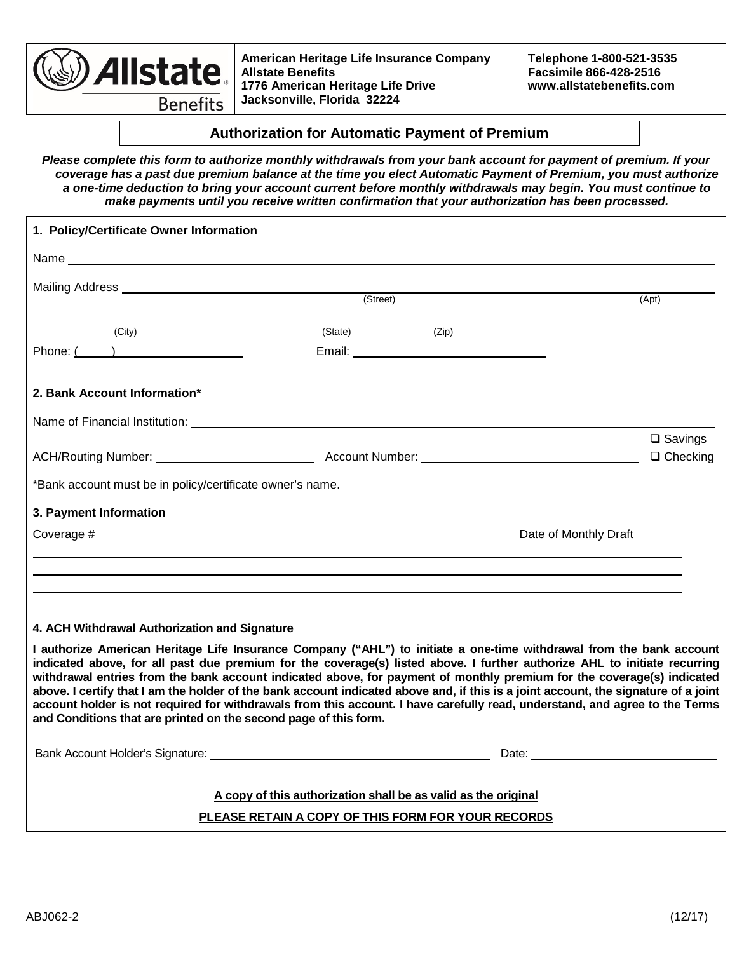

**American Heritage Life Insurance Company Telephone 1-800-521-3535 1776 American Heritage Life Drive Jacksonville, Florida 32224**

**Allstate Benefits Facsimile 866-428-2516**

**Authorization for Automatic Payment of Premium**

*Please complete this form to authorize monthly withdrawals from your bank account for payment of premium. If your coverage has a past due premium balance at the time you elect Automatic Payment of Premium, you must authorize a one-time deduction to bring your account current before monthly withdrawals may begin. You must continue to make payments until you receive written confirmation that your authorization has been processed.* 

| 1. Policy/Certificate Owner Information                                                                                                                                                                                                                                                                                                                                                                                                                                                                                                                                                                                                                                                                               |                                                                |                       |                                                                                                                                                                                                                                |
|-----------------------------------------------------------------------------------------------------------------------------------------------------------------------------------------------------------------------------------------------------------------------------------------------------------------------------------------------------------------------------------------------------------------------------------------------------------------------------------------------------------------------------------------------------------------------------------------------------------------------------------------------------------------------------------------------------------------------|----------------------------------------------------------------|-----------------------|--------------------------------------------------------------------------------------------------------------------------------------------------------------------------------------------------------------------------------|
|                                                                                                                                                                                                                                                                                                                                                                                                                                                                                                                                                                                                                                                                                                                       |                                                                |                       |                                                                                                                                                                                                                                |
| Mailing Address National Accounts and Accounts and Accounts and Accounts and Accounts and Accounts and Accounts and                                                                                                                                                                                                                                                                                                                                                                                                                                                                                                                                                                                                   |                                                                |                       |                                                                                                                                                                                                                                |
|                                                                                                                                                                                                                                                                                                                                                                                                                                                                                                                                                                                                                                                                                                                       | (Street)                                                       |                       | (Apt)                                                                                                                                                                                                                          |
| (City)                                                                                                                                                                                                                                                                                                                                                                                                                                                                                                                                                                                                                                                                                                                | (State)                                                        | (Zip)                 |                                                                                                                                                                                                                                |
| Phone: ( )                                                                                                                                                                                                                                                                                                                                                                                                                                                                                                                                                                                                                                                                                                            |                                                                |                       |                                                                                                                                                                                                                                |
| 2. Bank Account Information*                                                                                                                                                                                                                                                                                                                                                                                                                                                                                                                                                                                                                                                                                          |                                                                |                       |                                                                                                                                                                                                                                |
| Name of Financial Institution: <b>Example 2018</b>                                                                                                                                                                                                                                                                                                                                                                                                                                                                                                                                                                                                                                                                    |                                                                |                       |                                                                                                                                                                                                                                |
|                                                                                                                                                                                                                                                                                                                                                                                                                                                                                                                                                                                                                                                                                                                       |                                                                |                       | $\square$ Savings                                                                                                                                                                                                              |
|                                                                                                                                                                                                                                                                                                                                                                                                                                                                                                                                                                                                                                                                                                                       |                                                                |                       | $\Box$ Checking                                                                                                                                                                                                                |
| *Bank account must be in policy/certificate owner's name.                                                                                                                                                                                                                                                                                                                                                                                                                                                                                                                                                                                                                                                             |                                                                |                       |                                                                                                                                                                                                                                |
| 3. Payment Information                                                                                                                                                                                                                                                                                                                                                                                                                                                                                                                                                                                                                                                                                                |                                                                |                       |                                                                                                                                                                                                                                |
| Coverage #                                                                                                                                                                                                                                                                                                                                                                                                                                                                                                                                                                                                                                                                                                            |                                                                | Date of Monthly Draft |                                                                                                                                                                                                                                |
|                                                                                                                                                                                                                                                                                                                                                                                                                                                                                                                                                                                                                                                                                                                       |                                                                |                       |                                                                                                                                                                                                                                |
|                                                                                                                                                                                                                                                                                                                                                                                                                                                                                                                                                                                                                                                                                                                       |                                                                |                       |                                                                                                                                                                                                                                |
|                                                                                                                                                                                                                                                                                                                                                                                                                                                                                                                                                                                                                                                                                                                       |                                                                |                       |                                                                                                                                                                                                                                |
| 4. ACH Withdrawal Authorization and Signature                                                                                                                                                                                                                                                                                                                                                                                                                                                                                                                                                                                                                                                                         |                                                                |                       |                                                                                                                                                                                                                                |
| I authorize American Heritage Life Insurance Company ("AHL") to initiate a one-time withdrawal from the bank account<br>indicated above, for all past due premium for the coverage(s) listed above. I further authorize AHL to initiate recurring<br>withdrawal entries from the bank account indicated above, for payment of monthly premium for the coverage(s) indicated<br>above. I certify that I am the holder of the bank account indicated above and, if this is a joint account, the signature of a joint<br>account holder is not required for withdrawals from this account. I have carefully read, understand, and agree to the Terms<br>and Conditions that are printed on the second page of this form. |                                                                |                       |                                                                                                                                                                                                                                |
| Bank Account Holder's Signature: University of the Contract of the Contract of the Contract of the Contract of                                                                                                                                                                                                                                                                                                                                                                                                                                                                                                                                                                                                        |                                                                |                       | Date: The contract of the contract of the contract of the contract of the contract of the contract of the contract of the contract of the contract of the contract of the contract of the contract of the contract of the cont |
|                                                                                                                                                                                                                                                                                                                                                                                                                                                                                                                                                                                                                                                                                                                       | A copy of this authorization shall be as valid as the original |                       |                                                                                                                                                                                                                                |
|                                                                                                                                                                                                                                                                                                                                                                                                                                                                                                                                                                                                                                                                                                                       | PLEASE RETAIN A COPY OF THIS FORM FOR YOUR RECORDS             |                       |                                                                                                                                                                                                                                |